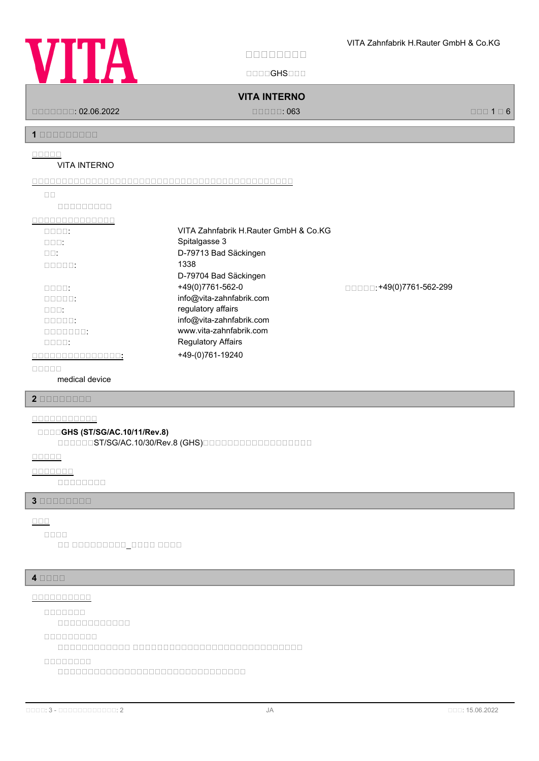

**安安安安安安安安**

国国国国GHS国国国

**VITA INTERNO**

国国国国国国国: 02.06.2022 国国国国国: 063 国国国 1 国 6

**1 安安安安安安安安安**

#### **安安安安安**

#### VITA INTERNO

**安安安安安安安安安安安安安安安安安安安安安安安安安安安安安安安安安安安安安安安安安安安安**

| <u>nnnnnnnn</u> |
|-----------------|
|                 |

| VITA Zahnfabrik H.Rauter GmbH & Co.KG |                         |
|---------------------------------------|-------------------------|
| Spitalgasse 3                         |                         |
| D-79713 Bad Säckingen                 |                         |
| 1338                                  |                         |
| D-79704 Bad Säckingen                 |                         |
| +49(0)7761-562-0                      | □□□□:+49(0)7761-562-299 |
| info@vita-zahnfabrik.com              |                         |
| regulatory affairs                    |                         |
| info@vita-zahnfabrik.com              |                         |
| www.vita-zahnfabrik.com               |                         |
| <b>Regulatory Affairs</b>             |                         |
| +49-(0)761-19240                      |                         |
|                                       |                         |

**安安安安安**

medical device

**2 安安安安安安安安**

## **安安安安安安安安安安安**

#### **安安安安GHS (ST/SG/AC.10/11/Rev.8)**

国国国国国国ST/SG/AC.10/30/Rev.8 (GHS)国国国国国国国国国国国国国国国国国国

**安安安安安**

#### **安安安安安安安**

国国国国国国国国

#### **3 安安安安安安安安**

## **安安安**

国国 国国国国国国国国国\_国国国国 国国国国 **安安安安**

#### **4 安安安安**

#### **安安安安安安安安安安**

**安安安安安安安**

国国国国国国国国国国国国

**安安安安安安安安安**

国国国国国国国国国国国国 国国国国国国国国国国国国国国国国国国国国国国国国国国国国

#### **安安安安安安安安**

国国国国国国国国国国国国国国国国国国国国国国国国国国国国国国国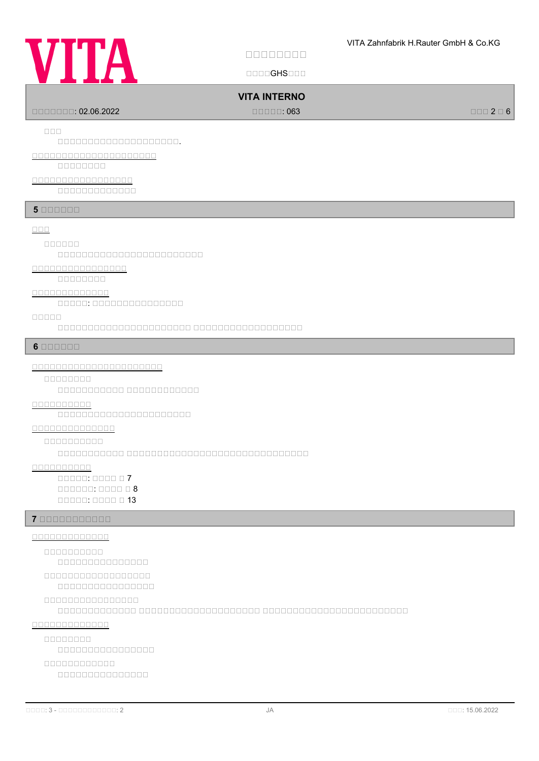# **VITA**

**安安安安安安安安**

国国国国GHS国国国

## **VITA INTERNO**

国国国国国国国: 02.06.2022 国国国国国: 063 国国国 2 国 6

**安安安**

国国国国国国国国国国国国国国国国国国国国.

**安安安安安安安安安安安安安安安安安安安安安**

国国国国国国国国

**安安安安安安安安安安安安安安安安安**

国国国国国国国国国国国国国

**5 BOODDD** 

#### **安安安**

**安安安安安安**

 $\Box$ 

## **安安安安安安安安安安安安安安安安**

国国国国国国国国

#### **安安安安安安安安安安安安安**

国国国国国: 国国国国国国国国国国国国国国国

#### **安安安安安**

国国国国国国国国国国国国国国国国国国国国国国 国国国国国国国国国国国国国国国国国国

#### **6 BEBEER**

#### **安安安安安安安安安安安安安安安安安安安安安安**

**安安安安安安安安**

国国国国国国国国国国国 国国国国国国国国国国国国

## **安安安安安安安安安安**

国国国国国国国国国国国国国国国国国国国国国国

#### **安安安安安安安安安安安安安安**

**安安安安安安安安安安**

国国国国国国国国国国国 国国国国国国国国国国国国国国国国国国国国国国国国国国国国国国

#### **安安安安安安安安安安**

国国国国国: 国国国国 国 7  $\Box$ 国国国国国: 国国国国 国 13

#### **7 安安安安安安安安安安安**

**安安安安安安安安安安安安安**

# **安安安安安安安安安安**

国国国国国国国国国国国国国国国 **安安安安安安安安安安安安安安安安安安**

## 国国国国国国国国国国国国国国国国

**安安安安安安安安安安安安安安安安**

国国国国国国国国国国国国国 国国国国国国国国国国国国国国国国国国国国 国国国国国国国国国国国国国国国国国国国国国国国国

#### **安安安安安安安安安安安安安**

**安安安安安安安安**

#### 国国国国国国国国国国国国国国国国

**安安安安安安安安安安安安**

## 国国国国国国国国国国国国国国国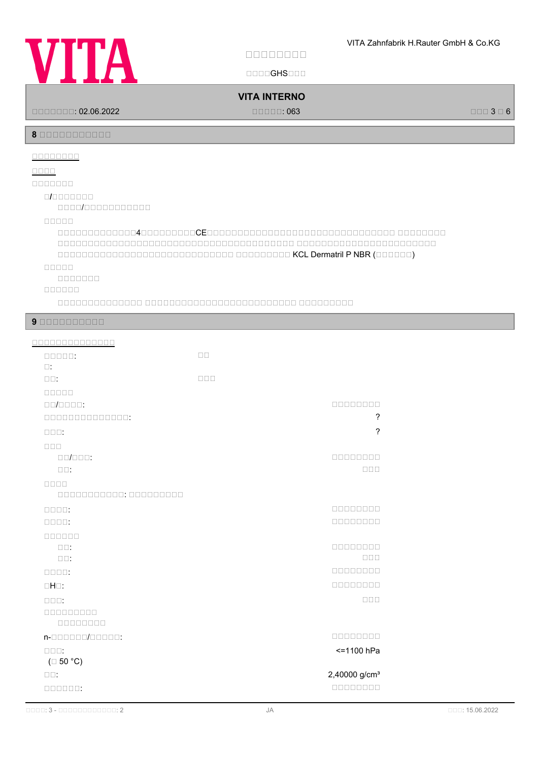

**安安安安安安安安**

国国国国GHS国国国

## **VITA INTERNO**

国国国国国国国: 02.06.2022 国国国国国: 063 国国国 3 国 6

**8 安安安安安安安安安安安**

## **安安安安安安安安**

#### **安安安安**

**安安安安安安安**

#### **安/安安安安安安安**

国国国国/国国国国国国国国国国国

#### **安安安安安**

 $\Box$ 国国国国国国国国国国国国国国国国国国国国国国国国国国国国国国国国国国国国国国国 国国国国国国国国国国国国国国国国国国国国国国国  $\Box$ 

#### **安安安安安**

国国国国国国国

#### **安安安安安安**

国国国国国国国国国国国国国国 国国国国国国国国国国国国国国国国国国国国国国国国国 国国国国国国国国国

#### **9 BEBEER 20 BEER**

| <u>00000000000000</u>                     |                  |                              |
|-------------------------------------------|------------------|------------------------------|
| $\Box \Box \Box \Box \Box$                | $\Box$ Box       |                              |
| $\square$ :                               |                  |                              |
| $\square \, \square$ :                    | $\Box \Box \Box$ |                              |
| 00000                                     |                  |                              |
| $\Box \Box / \Box \Box \Box \Box$         |                  | 00000000                     |
| 0000000000000:                            |                  | ?                            |
| $\Box$ $\Box$ $\Box$ :                    |                  | ?                            |
| $\Box$                                    |                  |                              |
| $\Box \Box / \Box \Box \Box$              |                  | 00000000                     |
| $\square \square$ :                       |                  | $\Box \Box \Box$             |
| 8888                                      |                  |                              |
| 000000000000:000000000                    |                  |                              |
| $\Box \Box \Box \Box$ :                   |                  | nnnnnnn                      |
| $\Box\Box\Box\Box\,$                      |                  | 00000000                     |
| 000000                                    |                  |                              |
| $\square \square$ :<br>$\square\square$ : |                  | 00000000<br>$\Box \Box \Box$ |
| $\Box \Box \Box \Box$                     |                  | 00000000                     |
| $\Box H \Box$ :                           |                  | 00000000                     |
|                                           |                  | $\Box \Box \Box$             |
| $\Box$ $\Box$ $\Box$ :<br>000000000       |                  |                              |
| 00000000                                  |                  |                              |
| n-000000/00000:                           |                  | 00000000                     |
| $\square \square \square$ :               |                  | <=1100 hPa                   |
| $(\Box 50 °C)$                            |                  |                              |
| $\square \square$ :                       |                  | 2,40000 g/cm <sup>3</sup>    |
| 000000:                                   |                  | 00000000                     |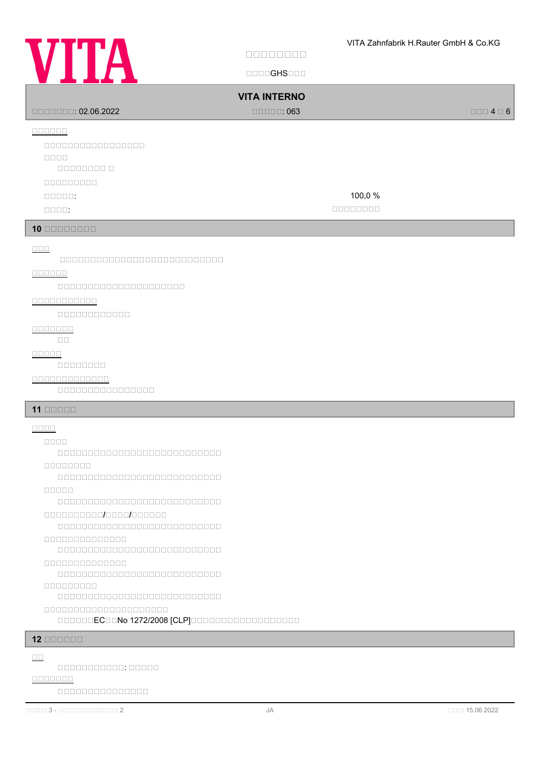

Ĭ

Ĭ

ľ

**安安安安安安安安**

国国国国GHS国国国

| ----                                                                                                                                                                                                                                                                                                                                                                             |                                |                           |
|----------------------------------------------------------------------------------------------------------------------------------------------------------------------------------------------------------------------------------------------------------------------------------------------------------------------------------------------------------------------------------|--------------------------------|---------------------------|
|                                                                                                                                                                                                                                                                                                                                                                                  | <b>VITA INTERNO</b>            |                           |
| $\Box$ $\Box$ $\Box$ $\Box$ $\Box$ : 02.06.2022                                                                                                                                                                                                                                                                                                                                  | $\Box \Box \Box \Box \Box$ 063 | $\Box \Box \Box 4 \Box 6$ |
| $\begin{array}{c} \square \, \square \, \square \, \square \, \square \, \square \end{array}$                                                                                                                                                                                                                                                                                    |                                |                           |
| 00000000000000000                                                                                                                                                                                                                                                                                                                                                                |                                |                           |
| $\Box\Box\Box\Box$                                                                                                                                                                                                                                                                                                                                                               |                                |                           |
|                                                                                                                                                                                                                                                                                                                                                                                  |                                |                           |
| 000000000                                                                                                                                                                                                                                                                                                                                                                        |                                |                           |
| $\Box \Box \Box \Box \Box$                                                                                                                                                                                                                                                                                                                                                       | 100,0%                         |                           |
| $\Box\Box\Box\Box\,$                                                                                                                                                                                                                                                                                                                                                             | 00000000                       |                           |
| $10$ nonconco                                                                                                                                                                                                                                                                                                                                                                    |                                |                           |
|                                                                                                                                                                                                                                                                                                                                                                                  |                                |                           |
| $\Box \Box \Box$<br>000000000000000000000000000                                                                                                                                                                                                                                                                                                                                  |                                |                           |
|                                                                                                                                                                                                                                                                                                                                                                                  |                                |                           |
| 00000000000000000000                                                                                                                                                                                                                                                                                                                                                             |                                |                           |
| 8888888888                                                                                                                                                                                                                                                                                                                                                                       |                                |                           |
| $\begin{array}{c} \rule{10pt}{2.5mm} \rule{2pt}{2.5mm} \rule{2pt}{2.5mm} \rule{2pt}{2.5mm} \rule{2pt}{2.5mm} \rule{2pt}{2.5mm} \rule{2pt}{2.5mm} \rule{2pt}{2.5mm} \rule{2pt}{2.5mm} \rule{2pt}{2.5mm} \rule{2pt}{2.5mm} \rule{2pt}{2.5mm} \rule{2pt}{2.5mm} \rule{2pt}{2.5mm} \rule{2pt}{2.5mm} \rule{2pt}{2.5mm} \rule{2pt}{2.5mm} \rule{2pt}{2.5mm} \rule{2pt}{2.5mm} \rule{$ |                                |                           |
|                                                                                                                                                                                                                                                                                                                                                                                  |                                |                           |
| $\begin{array}{c} \textcolor{red}{\textbf{1}} \textcolor{red}{\textbf{1}} \textcolor{red}{\textbf{1}} \textcolor{red}{\textbf{1}} \textcolor{red}{\textbf{1}} \textcolor{red}{\textbf{1}} \textcolor{red}{\textbf{1}} \textcolor{red}{\textbf{1}} \end{array}$<br>$\Box$ Box                                                                                                     |                                |                           |
| <b>ROODE</b>                                                                                                                                                                                                                                                                                                                                                                     |                                |                           |
| 00000000                                                                                                                                                                                                                                                                                                                                                                         |                                |                           |
| <u>0000000000000</u>                                                                                                                                                                                                                                                                                                                                                             |                                |                           |
| 000000000000000                                                                                                                                                                                                                                                                                                                                                                  |                                |                           |
| $11$ $0000$                                                                                                                                                                                                                                                                                                                                                                      |                                |                           |
| $\underline{\square\square\square\square}$                                                                                                                                                                                                                                                                                                                                       |                                |                           |
|                                                                                                                                                                                                                                                                                                                                                                                  |                                |                           |
| 000000000000000000000000000                                                                                                                                                                                                                                                                                                                                                      |                                |                           |
| 00000000                                                                                                                                                                                                                                                                                                                                                                         |                                |                           |
| 00000000000000000000000000                                                                                                                                                                                                                                                                                                                                                       |                                |                           |
| nnnnn<br>000000000000000000000000000                                                                                                                                                                                                                                                                                                                                             |                                |                           |
| 000000000000000000000                                                                                                                                                                                                                                                                                                                                                            |                                |                           |
| 000000000000000000000000000                                                                                                                                                                                                                                                                                                                                                      |                                |                           |
| 8888888888888                                                                                                                                                                                                                                                                                                                                                                    |                                |                           |
| 000000000000000000000000000                                                                                                                                                                                                                                                                                                                                                      |                                |                           |
| 00000000000000                                                                                                                                                                                                                                                                                                                                                                   |                                |                           |
| 000000000000000000000000000                                                                                                                                                                                                                                                                                                                                                      |                                |                           |
| 888888888<br>000000000000000000000000000                                                                                                                                                                                                                                                                                                                                         |                                |                           |
| 000000000000000000000                                                                                                                                                                                                                                                                                                                                                            |                                |                           |
| 000000EC00No 1272/2008 [CLP]0000000000000000000                                                                                                                                                                                                                                                                                                                                  |                                |                           |
|                                                                                                                                                                                                                                                                                                                                                                                  |                                |                           |
| $12$ on the $12$                                                                                                                                                                                                                                                                                                                                                                 |                                |                           |
| $\Box\Box$                                                                                                                                                                                                                                                                                                                                                                       |                                |                           |

国国国国国国国国国国国: 国国国国国 **安安安安安安安**

国国国国国国国国国国国国国国国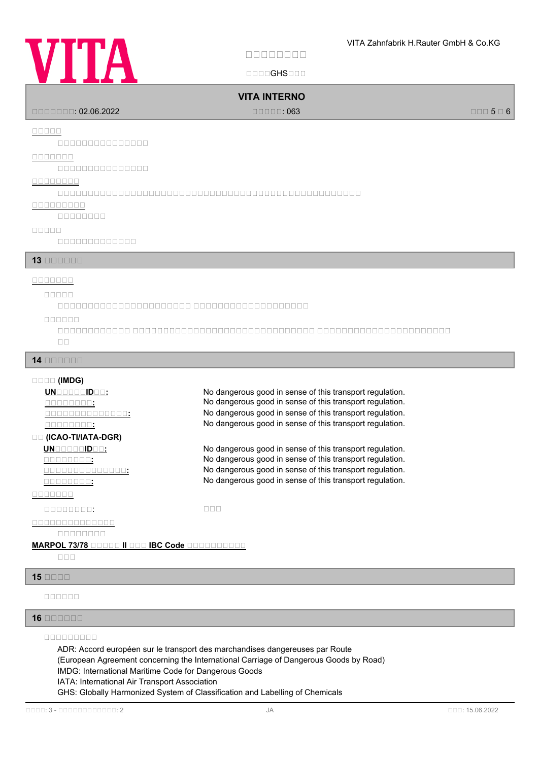# **VITA**

**安安安安安安安安**

国国国国GHS国国国

## **VITA INTERNO**

国国国国国国国: 02.06.2022 国国国国国: 063 国国国 5 国 6

#### **安安安安安**

国国国国国国国国国国国国国国国

#### **安安安安安安安**

国国国国国国国国国国国国国国国

#### **安安安安安安安安**

 $\Box$ 

#### **安安安安安安安安安**

国国国国国国国国

#### **安安安安安**

国国国国国国国国国国国国国

#### **13 BRANDAR**

#### **安安安安安安安**

**安安安安安**

国国国国国国国国国国国国国国国国国国国国国国 国国国国国国国国国国国国国国国国国国国

#### **安安安安安安**

国国国国国国国国国国国国 国国国国国国国国国国国国国国国国国国国国国国国国国国国国国国 国国国国国国国国国国国国国国国国国国国国国国 国国

#### **14 安安安安安安**

#### **安安安安 (IMDG)**

**UNGGBQGIDGG:** No dangerous good in sense of this transport regulation.

#### **安安 (ICAO-TI/IATA-DGR)**

#### **安安安安安安安**

#### 国国国国国国国国: 国国国

**安安安安安安安安安安安安安安**

## 国国国国国国国国

#### **MARPOL 73/78 BOODD II BOO IBC Code BOODDDOODD**

国国国

## **15 安安安安**

**安安安安安安**

#### **16 安安安安安安**

## **安安安安安安安安安**

ADR: Accord européen sur le transport des marchandises dangereuses par Route (European Agreement concerning the International Carriage of Dangerous Goods by Road) IMDG: International Maritime Code for Dangerous Goods IATA: International Air Transport Association GHS: Globally Harmonized System of Classification and Labelling of Chemicals

## **THE SET ASSESSED SET AS A REACT OF SET ASSESSI**NG UP A REACT AND **NO dangerous good in sense of this transport regulation. THE SEXT SEXTEES IN SERVIE SERVIES CONTINUES THE SEXTIME SERVIES IN SERVIES SERVIES IN SERVIES SERVIES SERVIES THE SEXT SEXTED SERVIES IN SERVIES SOLUTION SERVIES IN SERVIES SERVIES SERVIES SERVIES SERVIES SERVIES SERVIES**

**<u>UNBBBBBBBBB:</u>** No dangerous good in sense of this transport regulation.<br>
No dangerous good in sense of this transport regulation. **Ro dangerous good in sense of this transport regulation.**<br>TRIP TO MO dangerous good in sense of this transport regulation. **安安安安安安安安安安安安安安:** No dangerous good in sense of this transport regulation. **THE SEXT SEXTEES IN SERVIES SERVIES SERVIES SERVIES SERVIES SERVIES SERVIES SERVIES SERVIES SERVIES SERVIES SE**